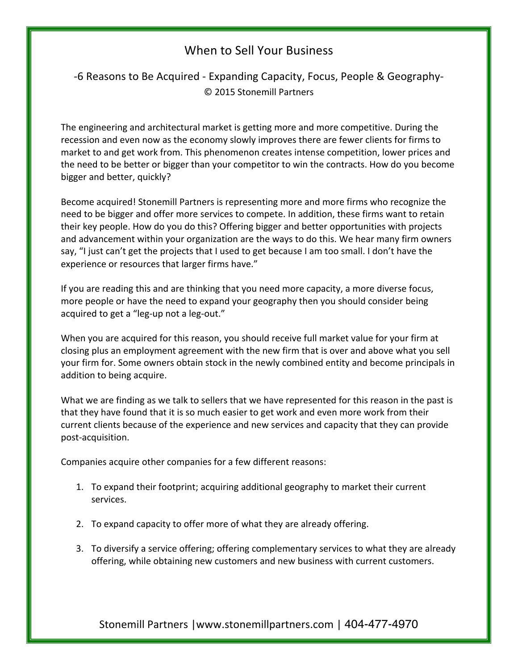## When to Sell Your Business

## -6 Reasons to Be Acquired - Expanding Capacity, Focus, People & Geography-© 2015 Stonemill Partners

The engineering and architectural market is getting more and more competitive. During the recession and even now as the economy slowly improves there are fewer clients for firms to market to and get work from. This phenomenon creates intense competition, lower prices and the need to be better or bigger than your competitor to win the contracts. How do you become bigger and better, quickly?

Become acquired! Stonemill Partners is representing more and more firms who recognize the need to be bigger and offer more services to compete. In addition, these firms want to retain their key people. How do you do this? Offering bigger and better opportunities with projects and advancement within your organization are the ways to do this. We hear many firm owners say, "I just can't get the projects that I used to get because I am too small. I don't have the experience or resources that larger firms have."

If you are reading this and are thinking that you need more capacity, a more diverse focus, more people or have the need to expand your geography then you should consider being acquired to get a "leg-up not a leg-out."

When you are acquired for this reason, you should receive full market value for your firm at closing plus an employment agreement with the new firm that is over and above what you sell your firm for. Some owners obtain stock in the newly combined entity and become principals in addition to being acquire.

What we are finding as we talk to sellers that we have represented for this reason in the past is that they have found that it is so much easier to get work and even more work from their current clients because of the experience and new services and capacity that they can provide post-acquisition.

Companies acquire other companies for a few different reasons:

- 1. To expand their footprint; acquiring additional geography to market their current services.
- 2. To expand capacity to offer more of what they are already offering.
- 3. To diversify a service offering; offering complementary services to what they are already offering, while obtaining new customers and new business with current customers.

Stonemill Partners | www.stonemillpartners.com | 404-477-4970